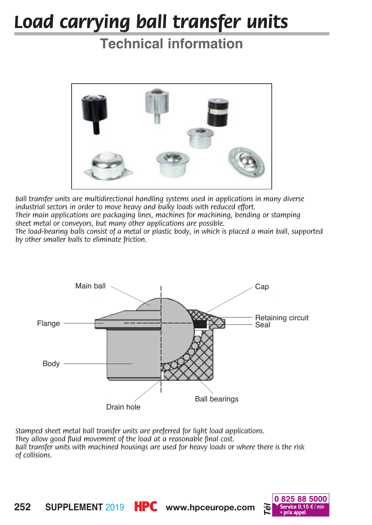## *Load carrying ball transfer units*

## **Technical information**



*Ball transfer units are multidirectional handling systems used in applications in many diverse industrial sectors in order to move heavy and bulky loads with reduced effort.* 

*Their main applications are packaging lines, machines for machining, bending or stamping sheet metal or conveyors, but many other applications are possible.*

*The load-bearing balls consist of a metal or plastic body, in which is placed a main ball, supported by other smaller balls to eliminate friction.*



*Stamped sheet metal ball transfer units are preferred for light load applications. They allow good fluid movement of the load at a reasonable final cost. Ball transfer units with machined housings are used for heavy loads or where there is the risk of collisions.*



**252 SUPPLEMENT 2019 <b>HPC** www.hpceurope.com **b Service 0,15 €/** min